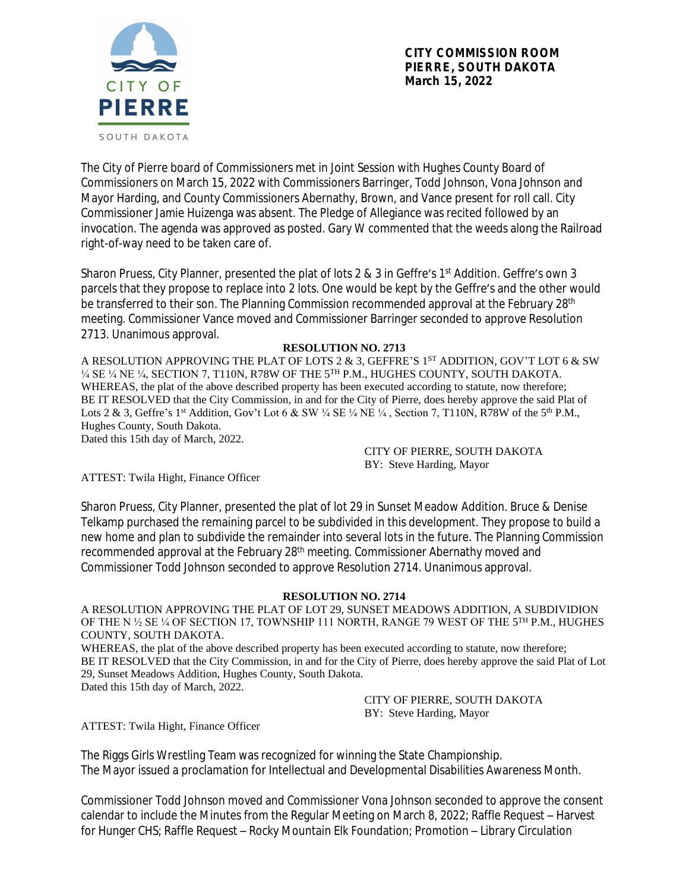

The City of Pierre board of Commissioners met in Joint Session with Hughes County Board of Commissioners on March 15, 2022 with Commissioners Barringer, Todd Johnson, Vona Johnson and Mayor Harding, and County Commissioners Abernathy, Brown, and Vance present for roll call. City Commissioner Jamie Huizenga was absent. The Pledge of Allegiance was recited followed by an invocation. The agenda was approved as posted. Gary W commented that the weeds along the Railroad right-of-way need to be taken care of.

Sharon Pruess, City Planner, presented the plat of lots 2 & 3 in Geffre's 1<sup>st</sup> Addition. Geffre's own 3 parcels that they propose to replace into 2 lots. One would be kept by the Geffre's and the other would be transferred to their son. The Planning Commission recommended approval at the February 28<sup>th</sup> meeting. Commissioner Vance moved and Commissioner Barringer seconded to approve Resolution 2713. Unanimous approval.

## **RESOLUTION NO. 2713**

A RESOLUTION APPROVING THE PLAT OF LOTS 2  $\&$  3, GEFFRE'S 1<sup>st</sup> ADDITION, GOV'T LOT 6  $\&$  SW ¼ SE ¼ NE ¼, SECTION 7, T110N, R78W OF THE 5 TH P.M., HUGHES COUNTY, SOUTH DAKOTA. WHEREAS, the plat of the above described property has been executed according to statute, now therefore; BE IT RESOLVED that the City Commission, in and for the City of Pierre, does hereby approve the said Plat of Lots 2 & 3, Geffre's 1<sup>st</sup> Addition, Gov't Lot 6 & SW ¼ SE ¼ NE ¼, Section 7, T110N, R78W of the 5<sup>th</sup> P.M., Hughes County, South Dakota.

Dated this 15th day of March, 2022.

CITY OF PIERRE, SOUTH DAKOTA BY: Steve Harding, Mayor

ATTEST: Twila Hight, Finance Officer

Sharon Pruess, City Planner, presented the plat of lot 29 in Sunset Meadow Addition. Bruce & Denise Telkamp purchased the remaining parcel to be subdivided in this development. They propose to build a new home and plan to subdivide the remainder into several lots in the future. The Planning Commission recommended approval at the February 28<sup>th</sup> meeting. Commissioner Abernathy moved and Commissioner Todd Johnson seconded to approve Resolution 2714. Unanimous approval.

## **RESOLUTION NO. 2714**

A RESOLUTION APPROVING THE PLAT OF LOT 29, SUNSET MEADOWS ADDITION, A SUBDIVIDION OF THE N ½ SE ¼ OF SECTION 17, TOWNSHIP 111 NORTH, RANGE 79 WEST OF THE 5<sup>TH</sup> P.M., HUGHES COUNTY, SOUTH DAKOTA.

WHEREAS, the plat of the above described property has been executed according to statute, now therefore; BE IT RESOLVED that the City Commission, in and for the City of Pierre, does hereby approve the said Plat of Lot 29, Sunset Meadows Addition, Hughes County, South Dakota. Dated this 15th day of March, 2022.

> CITY OF PIERRE, SOUTH DAKOTA BY: Steve Harding, Mayor

ATTEST: Twila Hight, Finance Officer

The Riggs Girls Wrestling Team was recognized for winning the State Championship. The Mayor issued a proclamation for Intellectual and Developmental Disabilities Awareness Month.

Commissioner Todd Johnson moved and Commissioner Vona Johnson seconded to approve the consent calendar to include the Minutes from the Regular Meeting on March 8, 2022; Raffle Request – Harvest for Hunger CHS; Raffle Request – Rocky Mountain Elk Foundation; Promotion – Library Circulation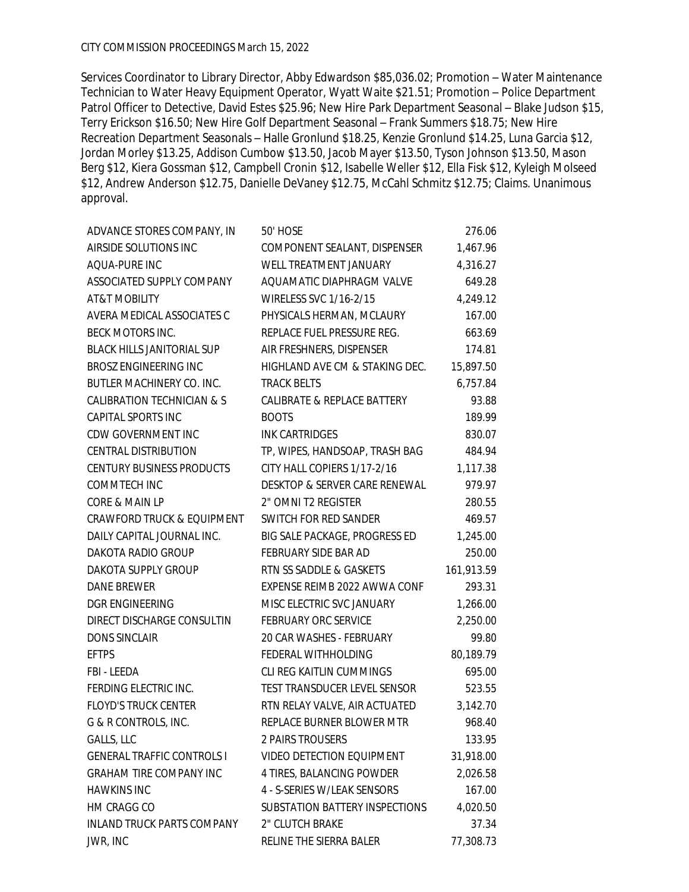Services Coordinator to Library Director, Abby Edwardson \$85,036.02; Promotion – Water Maintenance Technician to Water Heavy Equipment Operator, Wyatt Waite \$21.51; Promotion – Police Department Patrol Officer to Detective, David Estes \$25.96; New Hire Park Department Seasonal - Blake Judson \$15, Terry Erickson \$16.50; New Hire Golf Department Seasonal – Frank Summers \$18.75; New Hire Recreation Department Seasonals – Halle Gronlund \$18.25, Kenzie Gronlund \$14.25, Luna Garcia \$12, Jordan Morley \$13.25, Addison Cumbow \$13.50, Jacob Mayer \$13.50, Tyson Johnson \$13.50, Mason Berg \$12, Kiera Gossman \$12, Campbell Cronin \$12, Isabelle Weller \$12, Ella Fisk \$12, Kyleigh Molseed \$12, Andrew Anderson \$12.75, Danielle DeVaney \$12.75, McCahl Schmitz \$12.75; Claims. Unanimous approval.

| ADVANCE STORES COMPANY, IN            | 50' HOSE                       | 276.06     |
|---------------------------------------|--------------------------------|------------|
| AIRSIDE SOLUTIONS INC                 | COMPONENT SEALANT, DISPENSER   | 1,467.96   |
| AQUA-PURE INC                         | WELL TREATMENT JANUARY         | 4,316.27   |
| ASSOCIATED SUPPLY COMPANY             | AQUAMATIC DIAPHRAGM VALVE      | 649.28     |
| AT&T MOBILITY                         | WIRELESS SVC 1/16-2/15         | 4,249.12   |
| AVERA MEDICAL ASSOCIATES C            | PHYSICALS HERMAN, MCLAURY      | 167.00     |
| BECK MOTORS INC.                      | REPLACE FUEL PRESSURE REG.     | 663.69     |
| <b>BLACK HILLS JANITORIAL SUP</b>     | AIR FRESHNERS, DISPENSER       | 174.81     |
| <b>BROSZ ENGINEERING INC</b>          | HIGHLAND AVE CM & STAKING DEC. | 15,897.50  |
| BUTLER MACHINERY CO. INC.             | <b>TRACK BELTS</b>             | 6,757.84   |
| CALIBRATION TECHNICIAN & S            | CALIBRATE & REPLACE BATTERY    | 93.88      |
| <b>CAPITAL SPORTS INC</b>             | <b>BOOTS</b>                   | 189.99     |
| CDW GOVERNMENT INC                    | <b>INK CARTRIDGES</b>          | 830.07     |
| <b>CENTRAL DISTRIBUTION</b>           | TP, WIPES, HANDSOAP, TRASH BAG | 484.94     |
| CENTURY BUSINESS PRODUCTS             | CITY HALL COPIERS 1/17-2/16    | 1,117.38   |
| COMMTECH INC                          | DESKTOP & SERVER CARE RENEWAL  | 979.97     |
| CORE & MAIN LP                        | 2" OMNI T2 REGISTER            | 280.55     |
| <b>CRAWFORD TRUCK &amp; EQUIPMENT</b> | SWITCH FOR RED SANDER          | 469.57     |
| DAILY CAPITAL JOURNAL INC.            | BIG SALE PACKAGE, PROGRESS ED  | 1,245.00   |
| DAKOTA RADIO GROUP                    | FEBRUARY SIDE BAR AD           | 250.00     |
| DAKOTA SUPPLY GROUP                   | RTN SS SADDLE & GASKETS        | 161,913.59 |
| DANE BREWER                           | EXPENSE REIMB 2022 AWWA CONF   | 293.31     |
| <b>DGR ENGINEERING</b>                | MISC ELECTRIC SVC JANUARY      | 1,266.00   |
| DIRECT DISCHARGE CONSULTIN            | FEBRUARY ORC SERVICE           | 2,250.00   |
| <b>DONS SINCLAIR</b>                  | 20 CAR WASHES - FEBRUARY       | 99.80      |
| <b>EFTPS</b>                          | FEDERAL WITHHOLDING            | 80,189.79  |
| FBI - LEEDA                           | CLI REG KAITLIN CUMMINGS       | 695.00     |
| FERDING ELECTRIC INC.                 | TEST TRANSDUCER LEVEL SENSOR   | 523.55     |
| <b>FLOYD'S TRUCK CENTER</b>           | RTN RELAY VALVE, AIR ACTUATED  | 3,142.70   |
| G & R CONTROLS, INC.                  | REPLACE BURNER BLOWER MTR      | 968.40     |
| GALLS, LLC                            | 2 PAIRS TROUSERS               | 133.95     |
| <b>GENERAL TRAFFIC CONTROLS I</b>     | VIDEO DETECTION EQUIPMENT      | 31,918.00  |
| <b>GRAHAM TIRE COMPANY INC</b>        | 4 TIRES, BALANCING POWDER      | 2,026.58   |
| <b>HAWKINS INC</b>                    | 4 - S-SERIES W/LEAK SENSORS    | 167.00     |
| HM CRAGG CO                           | SUBSTATION BATTERY INSPECTIONS | 4,020.50   |
| <b>INLAND TRUCK PARTS COMPANY</b>     | 2" CLUTCH BRAKE                | 37.34      |
| JWR, INC                              | RELINE THE SIERRA BALER        | 77,308.73  |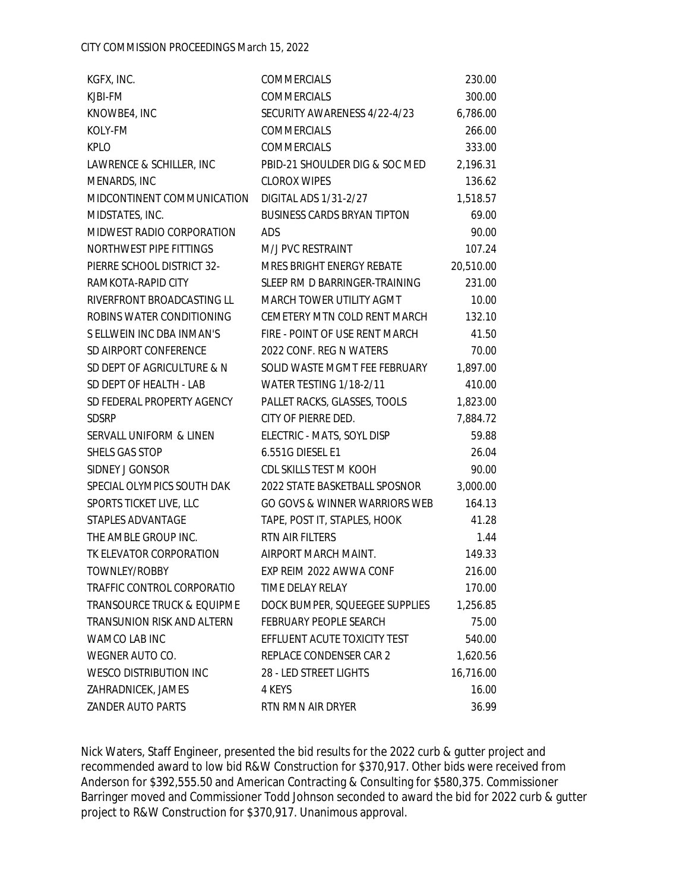| KGFX, INC.                            | COMMERCIALS                        | 230.00    |
|---------------------------------------|------------------------------------|-----------|
| KJBI-FM                               | <b>COMMERCIALS</b>                 | 300.00    |
| KNOWBE4, INC                          | SECURITY AWARENESS 4/22-4/23       | 6,786.00  |
| KOLY-FM                               | COMMERCIALS                        | 266.00    |
| <b>KPLO</b>                           | <b>COMMERCIALS</b>                 | 333.00    |
| LAWRENCE & SCHILLER, INC              | PBID-21 SHOULDER DIG & SOC MED     | 2,196.31  |
| MENARDS, INC                          | <b>CLOROX WIPES</b>                | 136.62    |
| MIDCONTINENT COMMUNICATION            | DIGITAL ADS 1/31-2/27              | 1,518.57  |
| MIDSTATES, INC.                       | <b>BUSINESS CARDS BRYAN TIPTON</b> | 69.00     |
| MIDWEST RADIO CORPORATION             | ADS                                | 90.00     |
| NORTHWEST PIPE FITTINGS               | M/J PVC RESTRAINT                  | 107.24    |
| PIERRE SCHOOL DISTRICT 32-            | MRES BRIGHT ENERGY REBATE          | 20,510.00 |
| RAMKOTA-RAPID CITY                    | SLEEP RM D BARRINGER-TRAINING      | 231.00    |
| RIVERFRONT BROADCASTING LL            | MARCH TOWER UTILITY AGMT           | 10.00     |
| ROBINS WATER CONDITIONING             | CEMETERY MTN COLD RENT MARCH       | 132.10    |
| S ELLWEIN INC DBA INMAN'S             | FIRE - POINT OF USE RENT MARCH     | 41.50     |
| SD AIRPORT CONFERENCE                 | 2022 CONF. REG N WATERS            | 70.00     |
| SD DEPT OF AGRICULTURE & N            | SOLID WASTE MGMT FEE FEBRUARY      | 1,897.00  |
| SD DEPT OF HEALTH - LAB               | WATER TESTING 1/18-2/11            | 410.00    |
| SD FEDERAL PROPERTY AGENCY            | PALLET RACKS, GLASSES, TOOLS       | 1,823.00  |
| <b>SDSRP</b>                          | CITY OF PIERRE DED.                | 7,884.72  |
| SERVALL UNIFORM & LINEN               | ELECTRIC - MATS, SOYL DISP         | 59.88     |
| SHELS GAS STOP                        | 6.551G DIESEL E1                   | 26.04     |
| SIDNEY J GONSOR                       | CDL SKILLS TEST M KOOH             | 90.00     |
| SPECIAL OLYMPICS SOUTH DAK            | 2022 STATE BASKETBALL SPOSNOR      | 3,000.00  |
| SPORTS TICKET LIVE, LLC               | GO GOVS & WINNER WARRIORS WEB      | 164.13    |
| STAPLES ADVANTAGE                     | TAPE, POST IT, STAPLES, HOOK       | 41.28     |
| THE AMBLE GROUP INC.                  | RTN AIR FILTERS                    | 1.44      |
| TK ELEVATOR CORPORATION               | AIRPORT MARCH MAINT.               | 149.33    |
| TOWNLEY/ROBBY                         | EXP REIM 2022 AWWA CONF            | 216.00    |
| TRAFFIC CONTROL CORPORATIO            | TIME DELAY RELAY                   | 170.00    |
| <b>TRANSOURCE TRUCK &amp; EQUIPME</b> | DOCK BUMPER, SQUEEGEE SUPPLIES     | 1,256.85  |
| <b>TRANSUNION RISK AND ALTERN</b>     | <b>FEBRUARY PEOPLE SEARCH</b>      | 75.00     |
| WAMCO LAB INC                         | EFFLUENT ACUTE TOXICITY TEST       | 540.00    |
| WEGNER AUTO CO.                       | REPLACE CONDENSER CAR 2            | 1,620.56  |
| <b>WESCO DISTRIBUTION INC</b>         | 28 - LED STREET LIGHTS             | 16,716.00 |
| ZAHRADNICEK, JAMES                    | 4 KEYS                             | 16.00     |
| ZANDER AUTO PARTS                     | RTN RMN AIR DRYER                  | 36.99     |

Nick Waters, Staff Engineer, presented the bid results for the 2022 curb & gutter project and recommended award to low bid R&W Construction for \$370,917. Other bids were received from Anderson for \$392,555.50 and American Contracting & Consulting for \$580,375. Commissioner Barringer moved and Commissioner Todd Johnson seconded to award the bid for 2022 curb & gutter project to R&W Construction for \$370,917. Unanimous approval.